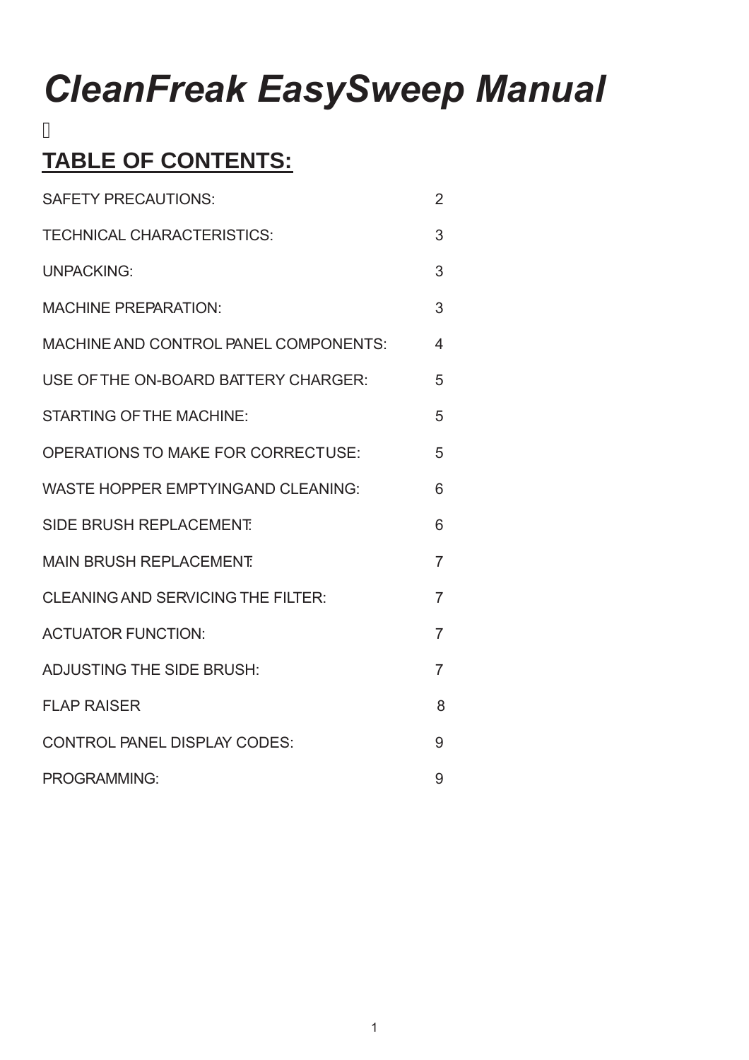# *CleanFreak EasySweep Manual*

# **TABLE OF CONTENTS:**

Ī

| <b>SAFETY PRECAUTIONS:</b>                | $\overline{2}$ |
|-------------------------------------------|----------------|
| <b>TECHNICAL CHARACTERISTICS:</b>         | 3              |
| <b>UNPACKING:</b>                         | 3              |
| <b>MACHINE PREPARATION:</b>               | 3              |
| MACHINE AND CONTROL PANEL COMPONENTS:     | 4              |
| USE OF THE ON-BOARD BATTERY CHARGER:      | 5              |
| <b>STARTING OF THE MACHINE:</b>           | 5              |
| <b>OPERATIONS TO MAKE FOR CORRECTUSE:</b> | 5              |
| <b>WASTE HOPPER EMPTYINGAND CLEANING:</b> | 6              |
| <b>SIDE BRUSH REPLACEMENT</b>             | 6              |
| <b>MAIN BRUSH REPLACEMENT</b>             | $\overline{7}$ |
| <b>CLEANING AND SERVICING THE FILTER:</b> | $\overline{7}$ |
| <b>ACTUATOR FUNCTION:</b>                 | $\overline{7}$ |
| <b>ADJUSTING THE SIDE BRUSH:</b>          | $\overline{7}$ |
| <b>FLAP RAISER</b>                        | 8              |
| <b>CONTROL PANEL DISPLAY CODES:</b>       | 9              |
| <b>PROGRAMMING:</b>                       | 9              |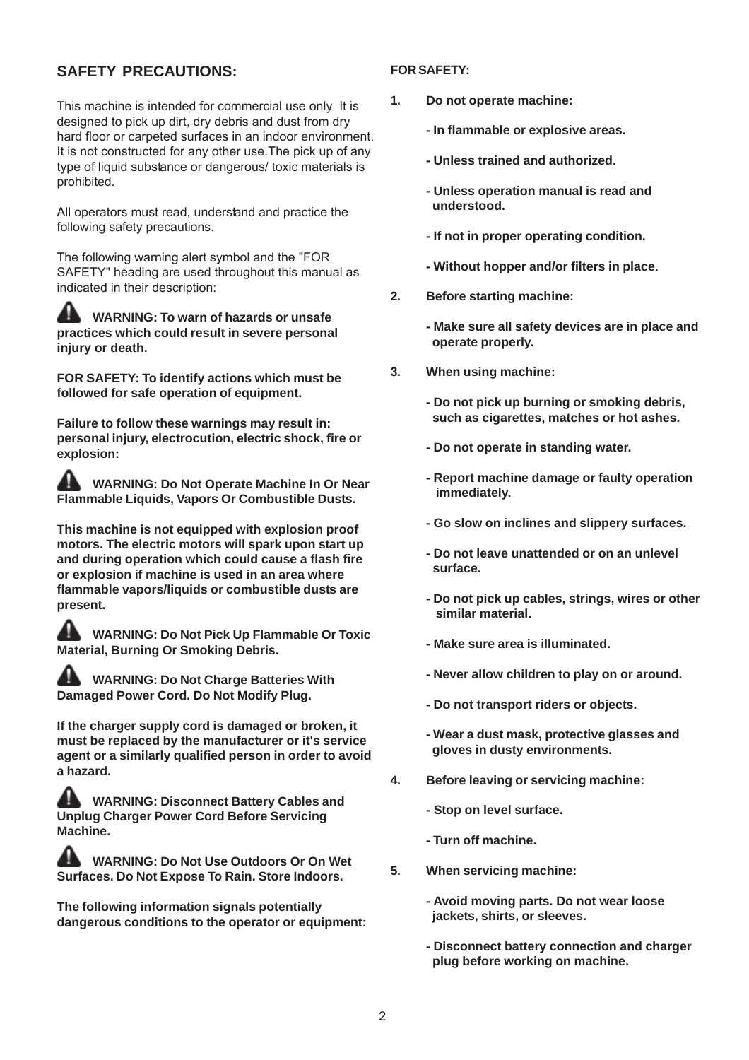#### **SAFETY PRECAUTIONS:**

This machine is intended for commercial use only. It is designed to pick up dirt, dry debris and dust from dry hard floor or carpeted surfaces in an indoor environment. It is not constructed for any other use. The pick up of any type of liquid substance or dangerous/ toxic materials is prohibited.

All operators must read, understand and practice the following safety precautions.

The following warning alert symbol and the "FOR SAFETY" heading are used throughout this manual as indicated in their description:

**WARNING: To warn of hazards or unsafe practices which could result in severe personal injury or death.**

**FOR SAFETY: To identify actions which must be followed for safe operation of equipment.**

**Failure to follow these warnings may result in: personal injury, electrocution, electric shock, fire or explosion:**

**WARNING: Do Not Operate Machine In Or Near Flammable Liquids, Vapors Or Combustible Dusts.**

**This machine is not equipped with explosion proof motors. The electric motors will spark upon start up and during operation which could cause a flash fire or explosion if machine is used in an area where flammable vapors/liquids or combustible dusts are present.**

**WARNING: Do Not Pick Up Flammable Or Toxic Material, Burning Or Smoking Debris.**

**WARNING: Do Not Charge Batteries With Damaged Power Cord. Do Not Modify Plug.**

**If the charger supply cord is damaged or broken, it must be replaced by the manufacturer or it's service agent or a similarly qualified person in order to avoid a hazard.**

**WARNING: Disconnect Battery Cables and Unplug Charger Power Cord Before Servicing Machine.**

**WARNING: Do Not Use Outdoors Or On Wet Surfaces. Do Not Expose To Rain. Store Indoors.**

**The following information signals potentially dangerous conditions to the operator or equipment:**

#### **FOR SAFETY:**

- **1. Do not operate machine:**
	- **In flammable or explosive areas.**
	- **Unless trained and authorized.**
	- **Unless operation manual is read and understood.**
	- **If not in proper operating condition.**
	- **Without hopper and/or filters in place.**
- **2. Before starting machine:**
	- **Make sure all safety devices are in place and operate properly.**
- **3. When using machine:**
	- **Do not pick up burning or smoking debris, such as cigarettes, matches or hot ashes.**
	- **Do not operate in standing water.**
	- **Report machine damage or faulty operation immediately.**
	- **Go slow on inclines and slippery surfaces.**
	- **Do not leave unattended or on an unlevel surface.**
	- **Do not pick up cables, strings, wires or other similar material.**
	- **Make sure area is illuminated.**
	- **Never allow children to play on or around.**
	- **Do not transport riders or objects.**
	- **Wear a dust mask, protective glasses and gloves in dusty environments.**
- **4. Before leaving or servicing machine:**
	- **Stop on level surface.**
	- **Turn off machine.**
- **5. When servicing machine:**
	- **Avoid moving parts. Do not wear loose jackets, shirts, or sleeves.**
	- **Disconnect battery connection and charger plug before working on machine.**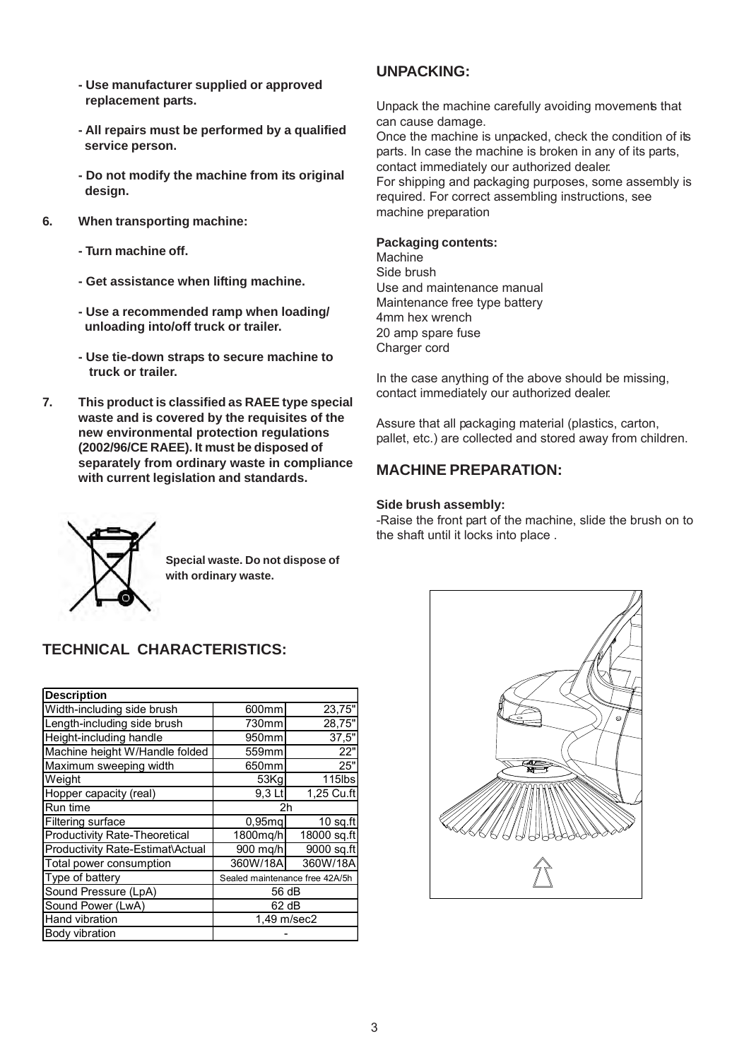- **Use manufacturer supplied or approved replacement parts.**
- **All repairs must be performed by a qualified service person.**
- **Do not modify the machine from its original design.**
- **6. When transporting machine:**
	- **Turn machine off.**
	- **Get assistance when lifting machine.**
	- **Use a recommended ramp when loading/ unloading into/off truck or trailer.**
	- **Use tie-down straps to secure machine to truck or trailer.**
- **7. This product is classified as RAEE type special waste and is covered by the requisites of the new environmental protection regulations (2002/96/CE RAEE). It must be disposed of separately from ordinary waste in compliance with current legislation and standards.**

#### **UNPACKING:**

Unpack the machine carefully avoiding movements that can cause damage.

Once the machine is unpacked, check the condition of its parts. In case the machine is broken in any of its parts, contact immediately our authorized dealer.

For shipping and packaging purposes, some assembly is required. For correct assembling instructions, see machine preparation

#### **Packaging contents:**

**Machine** Side brush Use and maintenance manual Maintenance free type battery 4mm hex wrench 20 amp spare fuse Charger cord

In the case anything of the above should be missing, contact immediately our authorized dealer.

Assure that all packaging material (plastics, carton, pallet, etc.) are collected and stored away from children.

#### **MACHINE PREPARATION:**

#### **Side brush assembly:**

-Raise the front part of the machine, slide the brush on to the shaft until it locks into place .



**Special waste. Do not dispose of with ordinary waste.**

### **TECHNICAL CHARACTERISTICS:**

| <b>Description</b>               |           |                                |  |  |
|----------------------------------|-----------|--------------------------------|--|--|
| Width-including side brush       | 600mm     | 23,75"                         |  |  |
| Length-including side brush      | 730mm     | 28,75"                         |  |  |
| Height-including handle          | 950mm     | 37,5"                          |  |  |
| Machine height W/Handle folded   | 559mm     | 22"                            |  |  |
| Maximum sweeping width           | 650mm     | 25"                            |  |  |
| Weight                           | 53Kq      | 115lbs                         |  |  |
| Hopper capacity (real)           | 9,3 Lt    | 1,25 Cu.ft                     |  |  |
| Run time                         | 2h        |                                |  |  |
| Filtering surface                | $0,95$ mq | $10$ sq.ft                     |  |  |
| Productivity Rate-Theoretical    | 1800mg/h  | 18000 sq.ft                    |  |  |
| Productivity Rate-Estimat\Actual | 900 mg/h  | 9000 sq.ft                     |  |  |
| Total power consumption          | 360W/18A  | 360W/18A                       |  |  |
| Type of battery                  |           | Sealed maintenance free 42A/5h |  |  |
| Sound Pressure (LpA)             |           | 56 dB                          |  |  |
| Sound Power (LwA)                |           | 62 dB                          |  |  |
| Hand vibration<br>1,49 m/sec2    |           |                                |  |  |
| Body vibration                   |           |                                |  |  |

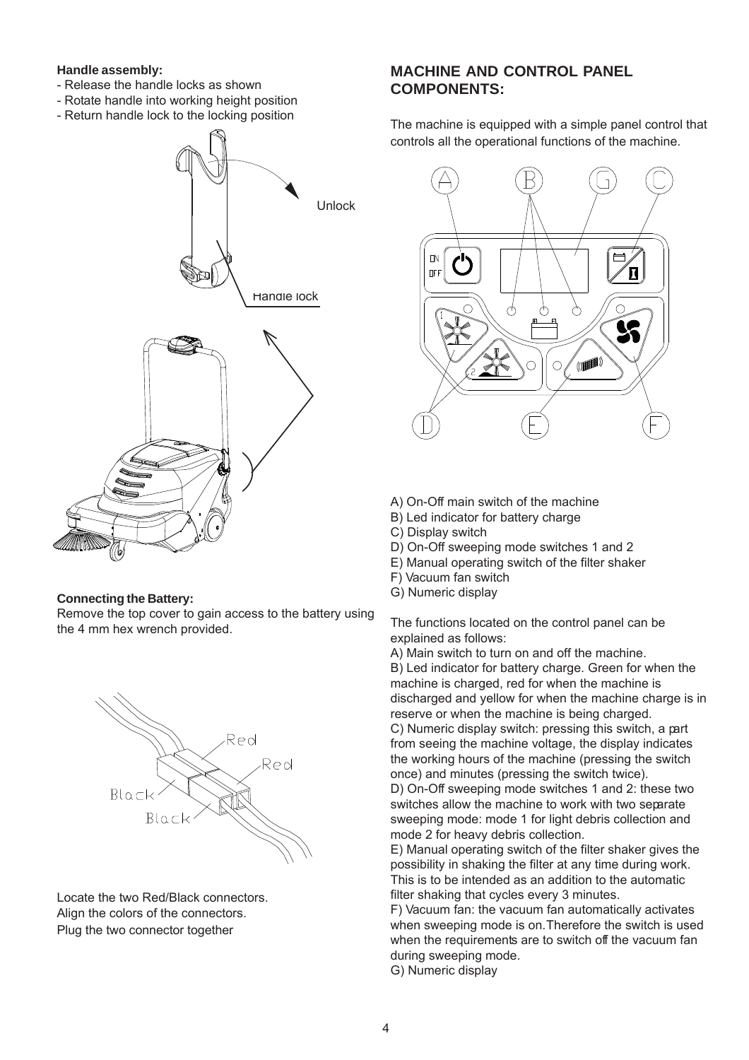#### **Handle assembly:**

- Release the handle locks as shown
- Rotate handle into working height position
- Return handle lock to the locking position



#### **Connecting the Battery:**

Remove the top cover to gain access to the battery using the 4 mm hex wrench provided.



Locate the two Red/Black connectors. Align the colors of the connectors. Plug the two connector together.

#### **MACHINE AND CONTROL PANEL COMPONENTS:**

The machine is equipped with a simple panel control that controls all the operational functions of the machine.



- A) On-Off main switch of the machine
- B) Led indicator for battery charge
- C) Display switch
- D) On-Off sweeping mode switches 1 and 2
- E) Manual operating switch of the filter shaker
- F) Vacuum fan switch
- G) Numeric display

The functions located on the control panel can be explained as follows:

A) Main switch to turn on and off the machine.

B) Led indicator for battery charge. Green for when the machine is charged, red for when the machine is discharged and yellow for when the machine charge is in reserve or when the machine is being charged.

C) Numeric display switch: pressing this switch, a part from seeing the machine voltage, the display indicates the working hours of the machine (pressing the switch once) and minutes (pressing the switch twice).

D) On-Off sweeping mode switches 1 and 2: these two switches allow the machine to work with two separate sweeping mode: mode 1 for light debris collection and mode 2 for heavy debris collection.

E) Manual operating switch of the filter shaker gives the possibility in shaking the filter at any time during work. This is to be intended as an addition to the automatic filter shaking that cycles every 3 minutes.

F) Vacuum fan: the vacuum fan automatically activates when sweeping mode is on. Therefore the switch is used when the requirements are to switch off the vacuum fan during sweeping mode.

G) Numeric display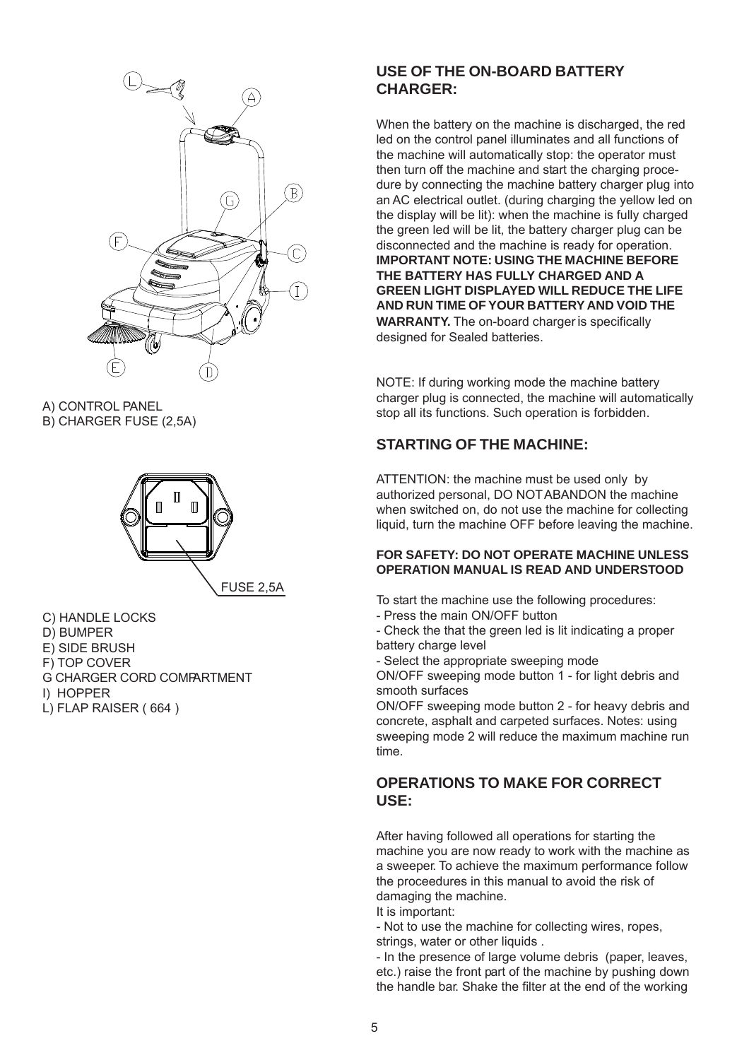

A) CONTROL PANEL B) CHARGER FUSE (2,5A)



C) HANDLE LOCKS D) BUMPER E) SIDE BRUSH F) TOP COVER G CHARGER CORD COMPARTMENT I) HOPPER L) FLAP RAISER ( 664 )

#### **USE OF THE ON-BOARD BATTERY CHARGER:**

When the battery on the machine is discharged, the red led on the control panel illuminates and all functions of the machine will automatically stop: the operator must then turn off the machine and start the charging procedure by connecting the machine battery charger plug into an AC electrical outlet. (during charging the yellow led on the display will be lit): when the machine is fully charged the green led will be lit, the battery charger plug can be disconnected and the machine is ready for operation. **IMPORTANT NOTE: USING THE MACHINE BEFORE THE BATTERY HAS FULLY CHARGED AND A GREEN LIGHT DISPLAYED WILL REDUCE THE LIFE AND RUN TIME OF YOUR BATTERY AND VOID THE WARRANTY.** The on-board charger is specifically designed for Sealed batteries.

NOTE: If during working mode the machine battery charger plug is connected, the machine will automatically stop all its functions. Such operation is forbidden.

### **STARTING OF THE MACHINE:**

ATTENTION: the machine must be used only by authorized personal, DO NOTABANDON the machine when switched on, do not use the machine for collecting liquid, turn the machine OFF before leaving the machine.

#### **FOR SAFETY: DO NOT OPERATE MACHINE UNLESS OPERATION MANUAL IS READ AND UNDERSTOOD**

- To start the machine use the following procedures:
- Press the main ON/OFF button
- Check the that the green led is lit indicating a proper battery charge level
- Select the appropriate sweeping mode

ON/OFF sweeping mode button 1 - for light debris and smooth surfaces

ON/OFF sweeping mode button 2 - for heavy debris and concrete, asphalt and carpeted surfaces. Notes: using sweeping mode 2 will reduce the maximum machine run time.

#### **OPERATIONS TO MAKE FOR CORRECT USE:**

After having followed all operations for starting the machine you are now ready to work with the machine as a sweeper. To achieve the maximum performance follow the proceedures in this manual to avoid the risk of damaging the machine.

It is important:

- Not to use the machine for collecting wires, ropes, strings, water or other liquids.

- In the presence of large volume debris (paper, leaves, etc.) raise the front part of the machine by pushing down the handle bar. Shake the filter at the end of the working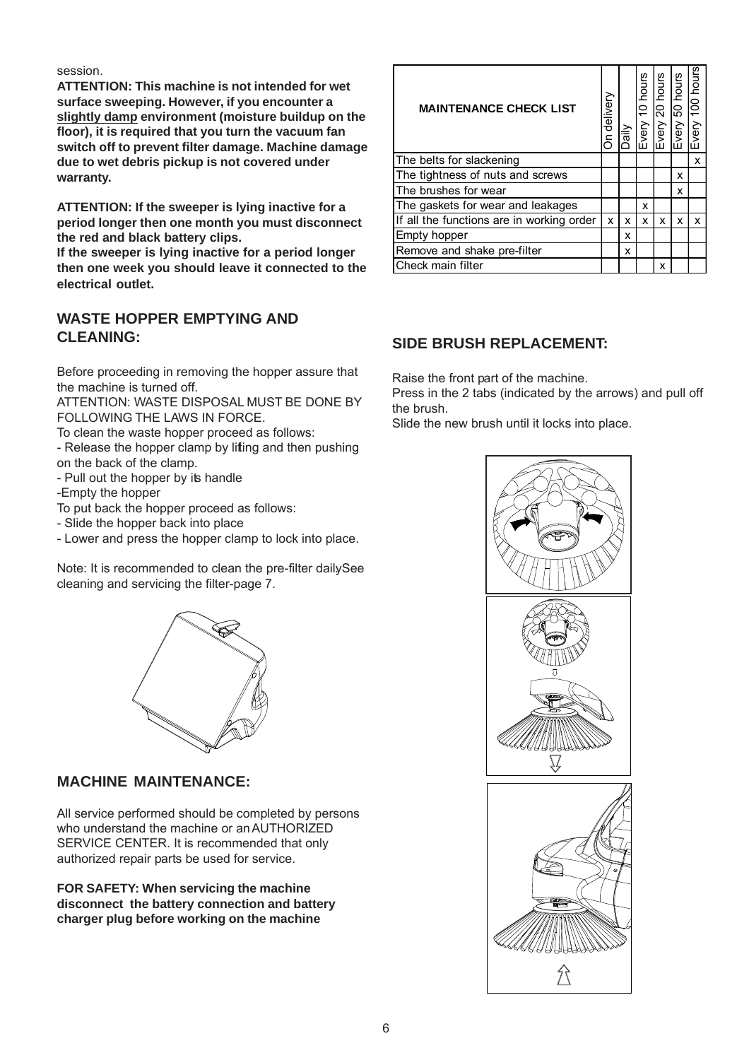session.

**ATTENTION: This machine is not intended for wet surface sweeping. However, if you encounter a slightly damp environment (moisture buildup on the floor), it is required that you turn the vacuum fan switch off to prevent filter damage. Machine damage due to wet debris pickup is not covered under warranty.**

**ATTENTION: If the sweeper is lying inactive for a period longer then one month you must disconnect the red and black battery clips.**

**If the sweeper is lying inactive for a period longer then one week you should leave it connected to the electrical outlet.**

#### **WASTE HOPPER EMPTYING AND CLEANING:**

Before proceeding in removing the hopper assure that the machine is turned off.

ATTENTION: WASTE DISPOSAL MUST BE DONE BY FOLLOWING THE LAWS IN FORCE.

To clean the waste hopper proceed as follows:

- Release the hopper clamp by lifting and then pushing on the back of the clamp.

- Pull out the hopper by its handle

-Empty the hopper

To put back the hopper proceed as follows:

- Slide the hopper back into place

- Lower and press the hopper clamp to lock into place.

Note: It is recommended to clean the pre-filter dailySee cleaning and servicing the filter-page 7.



#### **MACHINE MAINTENANCE:**

All service performed should be completed by persons who understand the machine or an AUTHORIZED SERVICE CENTER. It is recommended that only authorized repair parts be used for service.

**FOR SAFETY: When servicing the machine disconnect the battery connection and battery charger plug before working on the machine**

| <b>MAINTENANCE CHECK LIST</b>                                                                                                                                      | On delivery | Daily | Every 10 hours | Every 20 hours | Every 50 hours | Every 100 hours |
|--------------------------------------------------------------------------------------------------------------------------------------------------------------------|-------------|-------|----------------|----------------|----------------|-----------------|
| The belts for slackening                                                                                                                                           |             |       |                |                |                | x               |
| The tightness of nuts and screws                                                                                                                                   |             |       |                |                | x              |                 |
| The brushes for wear                                                                                                                                               |             |       |                |                | x              |                 |
| The gaskets for wear and leakages                                                                                                                                  |             |       | х              |                |                |                 |
| If all the functions are in working order                                                                                                                          | x           | x     | х              | x              | x              | х               |
| Empty hopper                                                                                                                                                       |             | x     |                |                |                |                 |
| Remove and shake pre-filter                                                                                                                                        |             | x     |                |                |                |                 |
| Check main filter                                                                                                                                                  |             |       |                | х              |                |                 |
| <b>SIDE BRUSH REPLACEMENT:</b>                                                                                                                                     |             |       |                |                |                |                 |
| Raise the front part of the machine.<br>Press in the 2 tabs (indicated by the arrows) and pull off<br>the brush.<br>Slide the new brush until it locks into place. |             |       |                |                |                |                 |

#### **SIDE BRUSH REPLACEMENT:**

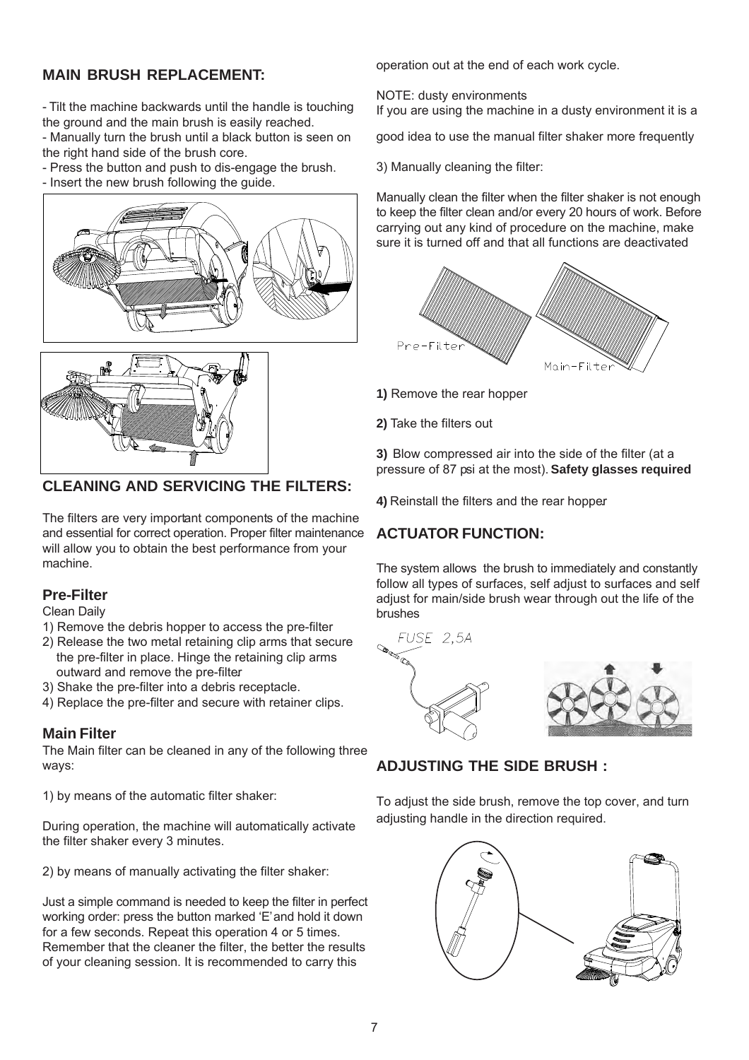#### **MAIN BRUSH REPLACEMENT:**

- Tilt the machine backwards until the handle is touching the ground and the main brush is easily reached.

- Manually turn the brush until a black button is seen on the right hand side of the brush core.

- Press the button and push to dis-engage the brush.
- Insert the new brush following the guide.





#### **CLEANING AND SERVICING THE FILTERS:**

The filters are very important components of the machine and essential for correct operation. Proper filter maintenance will allow you to obtain the best performance from your machine.

#### **Pre-Filter**

Clean Daily

- 1) Remove the debris hopper to access the pre-filter
- 2) Release the two metal retaining clip arms that secure the pre-filter in place. Hinge the retaining clip arms outward and remove the pre-filter.
- 3) Shake the pre-filter into a debris receptacle.
- 4) Replace the pre-filter and secure with retainer clips.

#### **Main Filter**

The Main filter can be cleaned in any of the following three ways:

1) by means of the automatic filter shaker:

During operation, the machine will automatically activate the filter shaker every 3 minutes.

2) by means of manually activating the filter shaker:

Just a simple command is needed to keep the filter in perfect working order: press the button marked 'E' and hold it down for a few seconds. Repeat this operation 4 or 5 times. Remember that the cleaner the filter, the better the results of your cleaning session. It is recommended to carry this

operation out at the end of each work cycle.

NOTE: dusty environments If you are using the machine in a dusty environment it is a

good idea to use the manual filter shaker more frequently.

3) Manually cleaning the filter:

Manually clean the filter when the filter shaker is not enough to keep the filter clean and/or every 20 hours of work. Before carrying out any kind of procedure on the machine, make sure it is turned off and that all functions are deactivated



**1)** Remove the rear hopper

**2)** Take the filters out

**3)** Blow compressed air into the side of the filter (at a pressure of 87 psi at the most). **Safety glasses required**

**4)** Reinstall the filters and the rear hopper.

### **ACTUATOR FUNCTION:**

The system allows the brush to immediately and constantly follow all types of surfaces, self adjust to surfaces and self adjust for main/side brush wear through out the life of the brushes



### **ADJUSTING THE SIDE BRUSH :**

To adjust the side brush, remove the top cover, and turn adjusting handle in the direction required.

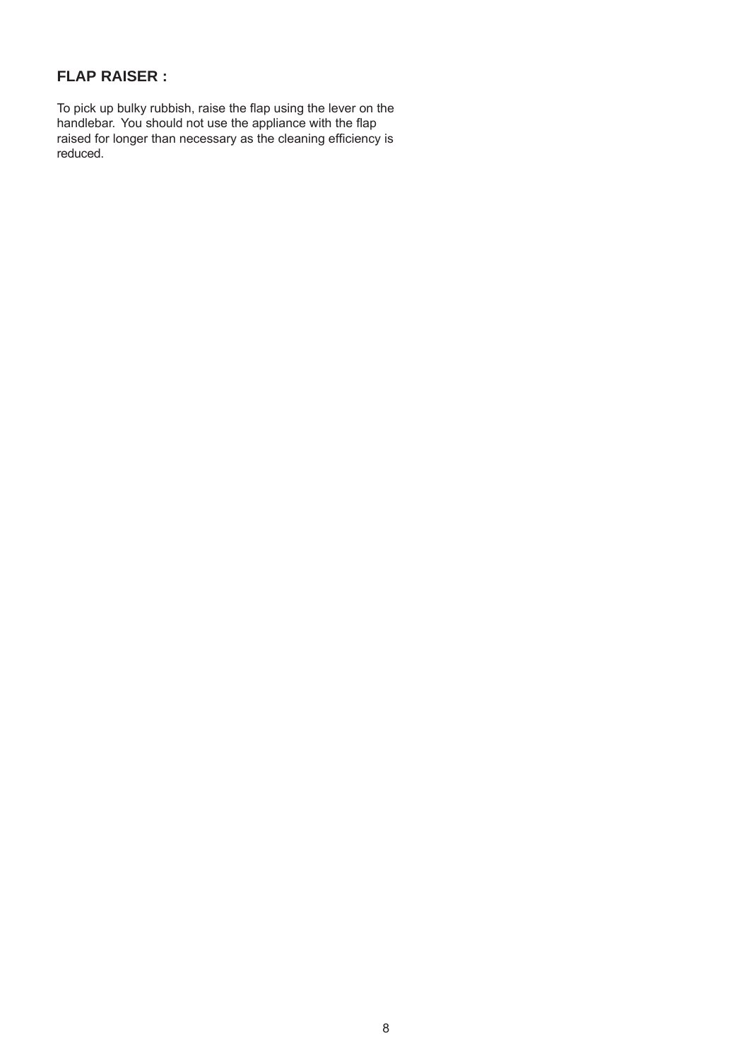#### **FLAP RAISER :**

To pick up bulky rubbish, raise the flap using the lever on the handlebar. You should not use the appliance with the flap raised for longer than necessary as the cleaning efficiency is reduced.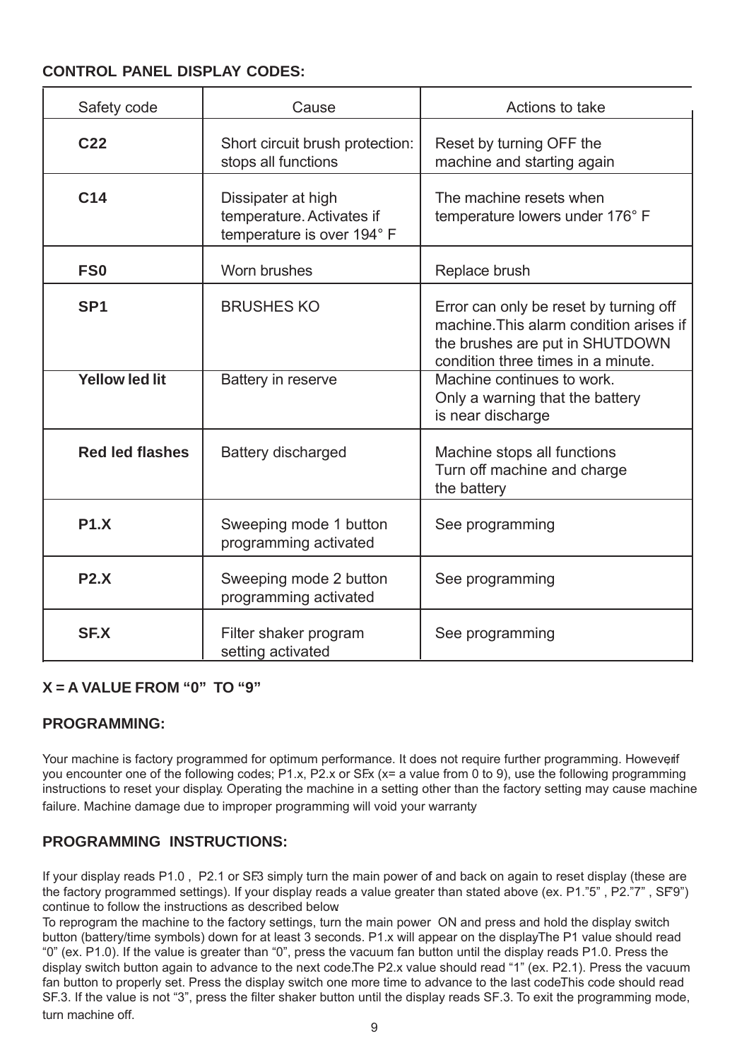#### **CONTROL PANEL DISPLAY CODES:**

| Safety code            | Cause                                                                         | Actions to take                                                                                                                                            |
|------------------------|-------------------------------------------------------------------------------|------------------------------------------------------------------------------------------------------------------------------------------------------------|
| C <sub>22</sub>        | Short circuit brush protection:<br>stops all functions                        | Reset by turning OFF the<br>machine and starting again                                                                                                     |
| C14                    | Dissipater at high<br>temperature. Activates if<br>temperature is over 194° F | The machine resets when<br>temperature lowers under 176° F                                                                                                 |
| FS <sub>0</sub>        | Worn brushes                                                                  | Replace brush                                                                                                                                              |
| SP <sub>1</sub>        | <b>BRUSHES KO</b>                                                             | Error can only be reset by turning off<br>machine. This alarm condition arises if<br>the brushes are put in SHUTDOWN<br>condition three times in a minute. |
| <b>Yellow led lit</b>  | Battery in reserve                                                            | Machine continues to work.<br>Only a warning that the battery<br>is near discharge                                                                         |
| <b>Red led flashes</b> | <b>Battery discharged</b>                                                     | Machine stops all functions<br>Turn off machine and charge<br>the battery                                                                                  |
| <b>P1.X</b>            | Sweeping mode 1 button<br>programming activated                               | See programming                                                                                                                                            |
| P2.X                   | Sweeping mode 2 button<br>programming activated                               | See programming                                                                                                                                            |
| <b>SF.X</b>            | Filter shaker program<br>setting activated                                    | See programming                                                                                                                                            |

#### **X = A VALUE FROM "0" TO "9"**

#### **PROGRAMMING:**

Your machine is factory programmed for optimum performance. It does not require further programming. However f you encounter one of the following codes; P1.x, P2.x or SEx (x= a value from 0 to 9), use the following programming instructions to reset your display. Operating the machine in a setting other than the factory setting may cause machine failure. Machine damage due to improper programming will void your warranty

#### **PROGRAMMING INSTRUCTIONS:**

If your display reads P1.0, P2.1 or SF3 simply turn the main power of and back on again to reset display (these are the factory programmed settings). If your display reads a value greater than stated above (ex. P1."5", P2."7", SF9") continue to follow the instructions as described below.

To reprogram the machine to the factory settings, turn the main power ON and press and hold the display switch button (battery/time symbols) down for at least 3 seconds. P1.x will appear on the displayThe P1 value should read "0" (ex. P1.0). If the value is greater than "0", press the vacuum fan button until the display reads P1.0. Press the display switch button again to advance to the next code. The P2.x value should read "1" (ex. P2.1). Press the vacuum fan button to properly set. Press the display switch one more time to advance to the last codeThis code should read SF.3. If the value is not "3", press the filter shaker button until the display reads SF.3. To exit the programming mode, turn machine off.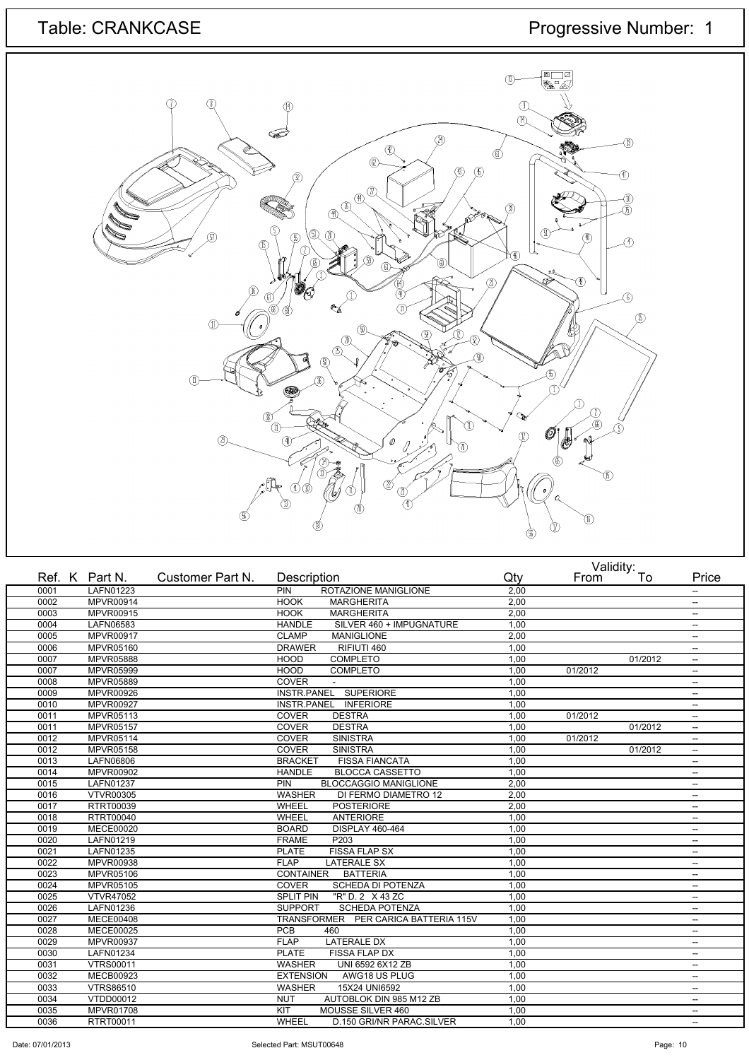# Table: CRANKCASE Progressive Number: 1



|      | Ref. K Part N.   | Customer Part N. | Description                               | Qty  | From    | Valiully.<br>To | Price                    |
|------|------------------|------------------|-------------------------------------------|------|---------|-----------------|--------------------------|
| 0001 | LAFN01223        |                  | PIN<br>ROTAZIONE MANIGLIONE               | 2,00 |         |                 | $\overline{\phantom{a}}$ |
| 0002 | <b>MPVR00914</b> |                  | <b>HOOK</b><br><b>MARGHERITA</b>          | 2,00 |         |                 | $\overline{\phantom{a}}$ |
| 0003 | <b>MPVR00915</b> |                  | <b>HOOK</b><br><b>MARGHERITA</b>          | 2.00 |         |                 | $\overline{\phantom{a}}$ |
| 0004 | LAFN06583        |                  | SILVER 460 + IMPUGNATURE<br><b>HANDLE</b> | 1,00 |         |                 | $\overline{\phantom{a}}$ |
| 0005 | <b>MPVR00917</b> |                  | <b>CLAMP</b><br><b>MANIGLIONE</b>         | 2.00 |         |                 | $\overline{\phantom{a}}$ |
| 0006 | <b>MPVR05160</b> |                  | <b>DRAWER</b><br>RIFIUTI 460              | 1,00 |         |                 | $\overline{\phantom{a}}$ |
| 0007 | <b>MPVR05888</b> |                  | <b>HOOD</b><br><b>COMPLETO</b>            | 1,00 |         | 01/2012         | $\overline{\phantom{a}}$ |
| 0007 | MPVR05999        |                  | <b>HOOD</b><br><b>COMPLETO</b>            | 1,00 | 01/2012 |                 | $\overline{\phantom{a}}$ |
| 0008 | MPVR05889        |                  | <b>COVER</b>                              | 1,00 |         |                 | $\overline{\phantom{a}}$ |
| 0009 | <b>MPVR00926</b> |                  | INSTR.PANEL SUPERIORE                     | 1,00 |         |                 | $\overline{\phantom{a}}$ |
| 0010 | MPVR00927        |                  | INSTR.PANEL INFERIORE                     | 1,00 |         |                 | $\overline{\phantom{a}}$ |
| 0011 | MPVR05113        |                  | <b>COVER</b><br><b>DESTRA</b>             | 1,00 | 01/2012 |                 | $\overline{\phantom{m}}$ |
| 0011 | <b>MPVR05157</b> |                  | <b>COVER</b><br><b>DESTRA</b>             | 1,00 |         | 01/2012         | $\overline{\phantom{a}}$ |
| 0012 | MPVR05114        |                  | COVER<br><b>SINISTRA</b>                  | 1,00 | 01/2012 |                 | $\overline{\phantom{m}}$ |
| 0012 | MPVR05158        |                  | COVER<br><b>SINISTRA</b>                  | 1,00 |         | 01/2012         | $\overline{\phantom{a}}$ |
| 0013 | <b>LAFN06806</b> |                  | <b>BRACKET</b><br><b>FISSA FIANCATA</b>   | 1,00 |         |                 | $\overline{\phantom{m}}$ |
| 0014 | MPVR00902        |                  | <b>HANDLE</b><br><b>BLOCCA CASSETTO</b>   | 1,00 |         |                 | $\overline{\phantom{a}}$ |
| 0015 | LAFN01237        |                  | PIN<br><b>BLOCCAGGIO MANIGLIONE</b>       | 2,00 |         |                 | $\overline{\phantom{a}}$ |
| 0016 | <b>VTVR00305</b> |                  | <b>WASHER</b><br>DI FERMO DIAMETRO 12     | 2,00 |         |                 | $\overline{\phantom{a}}$ |
| 0017 | RTRT00039        |                  | WHEEL<br><b>POSTERIORE</b>                | 2,00 |         |                 | $\overline{\phantom{m}}$ |
| 0018 | RTRT00040        |                  | WHEEL<br><b>ANTERIORE</b>                 | 1,00 |         |                 | $\sim$                   |
| 0019 | <b>MECE00020</b> |                  | <b>BOARD</b><br>DISPLAY 460-464           | 1,00 |         |                 | $\overline{\phantom{m}}$ |
| 0020 | LAFN01219        |                  | <b>FRAME</b><br>P203                      | 1,00 |         |                 | $\overline{\phantom{a}}$ |
| 0021 | <b>LAFN01235</b> |                  | <b>FISSA FLAP SX</b><br><b>PLATE</b>      | 1,00 |         |                 | $\overline{\phantom{a}}$ |
| 0022 | MPVR00938        |                  | <b>FLAP</b><br><b>LATERALE SX</b>         | 1,00 |         |                 | $\overline{\phantom{a}}$ |
| 0023 | MPVR05106        |                  | <b>BATTERIA</b><br><b>CONTAINER</b>       | 1,00 |         |                 | $\overline{\phantom{a}}$ |
| 0024 | MPVR05105        |                  | COVER<br><b>SCHEDA DI POTENZA</b>         | 1,00 |         |                 | $\overline{\phantom{a}}$ |
| 0025 | <b>VTVR47052</b> |                  | "R" D. 2 X 43 ZC<br><b>SPLIT PIN</b>      | 1,00 |         |                 | $\overline{\phantom{m}}$ |
| 0026 | <b>LAFN01236</b> |                  | <b>SCHEDA POTENZA</b><br><b>SUPPORT</b>   | 1,00 |         |                 | $\overline{\phantom{a}}$ |
| 0027 | <b>MECE00408</b> |                  | TRANSFORMER PER CARICA BATTERIA 115V      | 1,00 |         |                 | $\overline{\phantom{a}}$ |
| 0028 | <b>MECE00025</b> |                  | PCB<br>460                                | 1,00 |         |                 | $\overline{\phantom{a}}$ |
| 0029 | <b>MPVR00937</b> |                  | <b>FLAP</b><br><b>LATERALE DX</b>         | 1,00 |         |                 | $\overline{\phantom{m}}$ |
| 0030 | LAFN01234        |                  | <b>PLATE</b><br>FISSA FLAP DX             | 1,00 |         |                 | $\overline{\phantom{a}}$ |
| 0031 | <b>VTRS00011</b> |                  | UNI 6592 6X12 ZB<br><b>WASHER</b>         | 1,00 |         |                 | $\overline{\phantom{a}}$ |
| 0032 | <b>MECB00923</b> |                  | <b>EXTENSION</b><br>AWG18 US PLUG         | 1,00 |         |                 | $\overline{\phantom{a}}$ |
| 0033 | <b>VTRS86510</b> |                  | 15X24 UNI6592<br><b>WASHER</b>            | 1,00 |         |                 | $\overline{\phantom{a}}$ |
| 0034 | VTDD00012        |                  | AUTOBLOK DIN 985 M12 ZB<br><b>NUT</b>     | 1,00 |         |                 | $\overline{\phantom{a}}$ |
| 0035 | MPVR01708        |                  | KIT<br>MOUSSE SILVER 460                  | 1,00 |         |                 | $\overline{\phantom{m}}$ |
| 0036 | RTRT00011        |                  | <b>WHEEL</b><br>D.150 GRI/NR PARAC.SILVER | 1.00 |         |                 | $\overline{\phantom{a}}$ |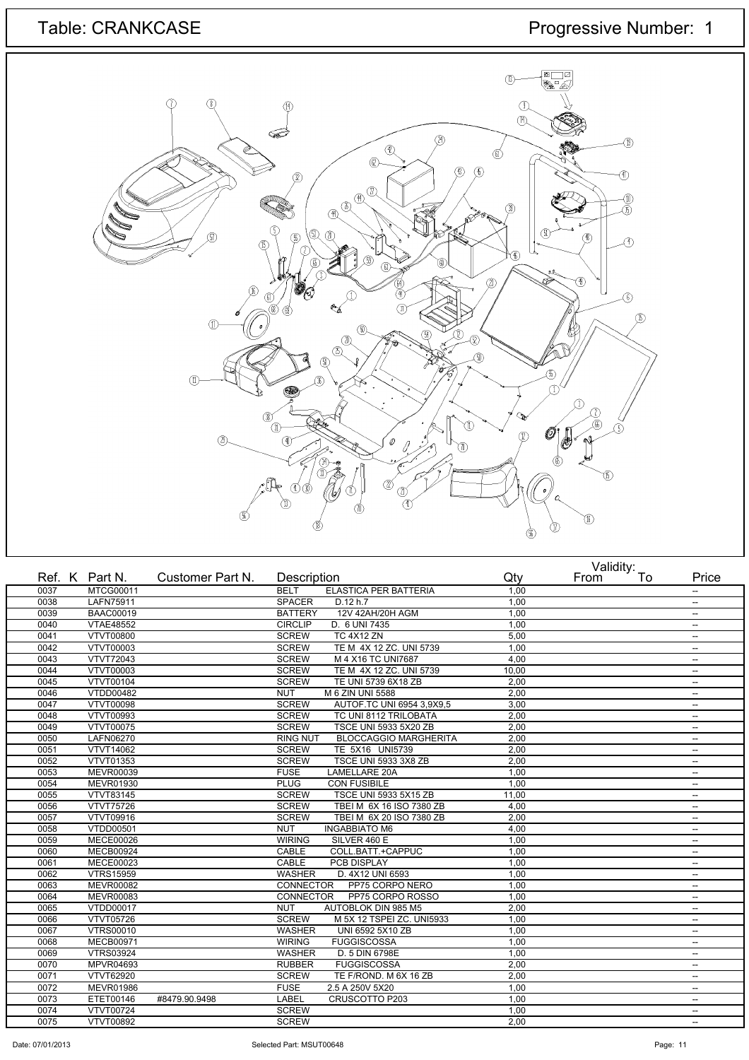# Table: CRANKCASE Progressive Number: 1



|      | Ref. K Part N.   | Customer Part N. | Description                                     | Qty   | validity.<br>To<br>From | Price                    |
|------|------------------|------------------|-------------------------------------------------|-------|-------------------------|--------------------------|
| 0037 | MTCG00011        |                  | <b>BELT</b><br>ELASTICA PER BATTERIA            | 1,00  |                         | $\overline{\phantom{a}}$ |
| 0038 | <b>LAFN75911</b> |                  | <b>SPACER</b><br>D.12 h.7                       | 1,00  |                         | $\overline{\phantom{a}}$ |
| 0039 | <b>BAAC00019</b> |                  | 12V 42AH/20H AGM<br><b>BATTERY</b>              | 1,00  |                         | $\overline{\phantom{a}}$ |
| 0040 | <b>VTAE48552</b> |                  | <b>CIRCLIP</b><br>D. 6 UNI 7435                 | 1,00  |                         | $\overline{\phantom{a}}$ |
| 0041 | <b>VTVT00800</b> |                  | <b>SCREW</b><br><b>TC 4X12 ZN</b>               | 5.00  |                         | $\overline{\phantom{a}}$ |
| 0042 | VTVT00003        |                  | TE M 4X 12 ZC. UNI 5739<br><b>SCREW</b>         | 1,00  |                         | $\overline{\phantom{a}}$ |
| 0043 | <b>VTVT72043</b> |                  | M 4 X16 TC UNI7687<br><b>SCREW</b>              | 4,00  |                         | $\overline{\phantom{a}}$ |
| 0044 | <b>VTVT00003</b> |                  | <b>SCREW</b><br>TE M 4X 12 ZC. UNI 5739         | 10,00 |                         | $\overline{\phantom{a}}$ |
| 0045 | VTVT00104        |                  | <b>SCREW</b><br>TE UNI 5739 6X18 ZB             | 2,00  |                         | $\overline{\phantom{a}}$ |
| 0046 | VTDD00482        |                  | <b>NUT</b><br>M 6 ZIN UNI 5588                  | 2,00  |                         | $\overline{\phantom{a}}$ |
| 0047 | <b>VTVT00098</b> |                  | <b>SCREW</b><br>AUTOF.TC UNI 6954 3,9X9,5       | 3,00  |                         | $\overline{\phantom{a}}$ |
| 0048 | <b>VTVT00993</b> |                  | <b>SCREW</b><br>TC UNI 8112 TRILOBATA           | 2,00  |                         | $\overline{\phantom{a}}$ |
| 0049 | VTVT00075        |                  | <b>SCREW</b><br>TSCE UNI 5933 5X20 ZB           | 2,00  |                         | $\overline{\phantom{a}}$ |
| 0050 | LAFN06270        |                  | <b>RING NUT</b><br><b>BLOCCAGGIO MARGHERITA</b> | 2,00  |                         | $\overline{\phantom{a}}$ |
| 0051 | <b>VTVT14062</b> |                  | <b>SCREW</b><br>TE 5X16 UNI5739                 | 2,00  |                         | $\overline{\phantom{a}}$ |
| 0052 | VTVT01353        |                  | <b>TSCE UNI 5933 3X8 ZB</b><br><b>SCREW</b>     | 2,00  |                         | $\overline{\phantom{a}}$ |
| 0053 | <b>MEVR00039</b> |                  | <b>FUSE</b><br>LAMELLARE 20A                    | 1,00  |                         | $\overline{\phantom{a}}$ |
| 0054 | MEVR01930        |                  | <b>PLUG</b><br><b>CON FUSIBILE</b>              | 1.00  |                         | $\overline{\phantom{a}}$ |
| 0055 | VTVT83145        |                  | <b>SCREW</b><br>TSCE UNI 5933 5X15 ZB           | 11,00 |                         | $\overline{\phantom{a}}$ |
| 0056 | <b>VTVT75726</b> |                  | <b>SCREW</b><br>TBEI M 6X 16 ISO 7380 ZB        | 4,00  |                         | $\overline{\phantom{a}}$ |
| 0057 | VTVT09916        |                  | <b>SCREW</b><br>TBEI M 6X 20 ISO 7380 ZB        | 2.00  |                         | $\overline{\phantom{a}}$ |
| 0058 | VTDD00501        |                  | <b>NUT</b><br><b>INGABBIATO M6</b>              | 4,00  |                         | $\overline{\phantom{a}}$ |
| 0059 | <b>MECE00026</b> |                  | SILVER 460 E<br><b>WIRING</b>                   | 1,00  |                         | $\overline{\phantom{a}}$ |
| 0060 | <b>MECB00924</b> |                  | COLL.BATT.+CAPPUC<br>CABLE                      | 1,00  |                         | $\overline{\phantom{a}}$ |
| 0061 | <b>MECE00023</b> |                  | <b>CABLE</b><br>PCB DISPLAY                     | 1,00  |                         | $\overline{\phantom{a}}$ |
| 0062 | <b>VTRS15959</b> |                  | <b>WASHER</b><br>D. 4X12 UNI 6593               | 1,00  |                         | $\overline{\phantom{a}}$ |
| 0063 | <b>MEVR00082</b> |                  | CONNECTOR<br>PP75 CORPO NERO                    | 1,00  |                         | $\overline{\phantom{a}}$ |
| 0064 | <b>MEVR00083</b> |                  | <b>CONNECTOR</b><br>PP75 CORPO ROSSO            | 1.00  |                         | $\overline{\phantom{a}}$ |
| 0065 | <b>VTDD00017</b> |                  | <b>NUT</b><br><b>AUTOBLOK DIN 985 M5</b>        | 2,00  |                         | $\overline{\phantom{a}}$ |
| 0066 | <b>VTVT05726</b> |                  | <b>SCREW</b><br>M 5X 12 TSPEI ZC. UNI5933       | 1,00  |                         | $\overline{\phantom{a}}$ |
| 0067 | <b>VTRS00010</b> |                  | <b>WASHER</b><br>UNI 6592 5X10 ZB               | 1,00  |                         | $\overline{\phantom{a}}$ |
| 0068 | MECB00971        |                  | <b>WIRING</b><br><b>FUGGISCOSSA</b>             | 1,00  |                         | $\overline{\phantom{a}}$ |
| 0069 | <b>VTRS03924</b> |                  | <b>WASHER</b><br>D. 5 DIN 6798E                 | 1,00  |                         | $\overline{\phantom{a}}$ |
| 0070 | MPVR04693        |                  | <b>RUBBER</b><br><b>FUGGISCOSSA</b>             | 2,00  |                         | $\overline{\phantom{a}}$ |
| 0071 | <b>VTVT62920</b> |                  | <b>SCREW</b><br>TE F/ROND. M 6X 16 ZB           | 2,00  |                         | $\overline{\phantom{a}}$ |
| 0072 | <b>MEVR01986</b> |                  | 2.5 A 250V 5X20<br><b>FUSE</b>                  | 1,00  |                         | $\overline{\phantom{a}}$ |
| 0073 | ETET00146        | #8479.90.9498    | LABEL<br>CRUSCOTTO P203                         | 1,00  |                         | $\overline{\phantom{a}}$ |
| 0074 | <b>VTVT00724</b> |                  | <b>SCREW</b>                                    | 1,00  |                         | $\hspace{0.05cm} -$      |
| 0075 | VTVT00892        |                  | <b>SCREW</b>                                    | 2,00  |                         | $\overline{\phantom{a}}$ |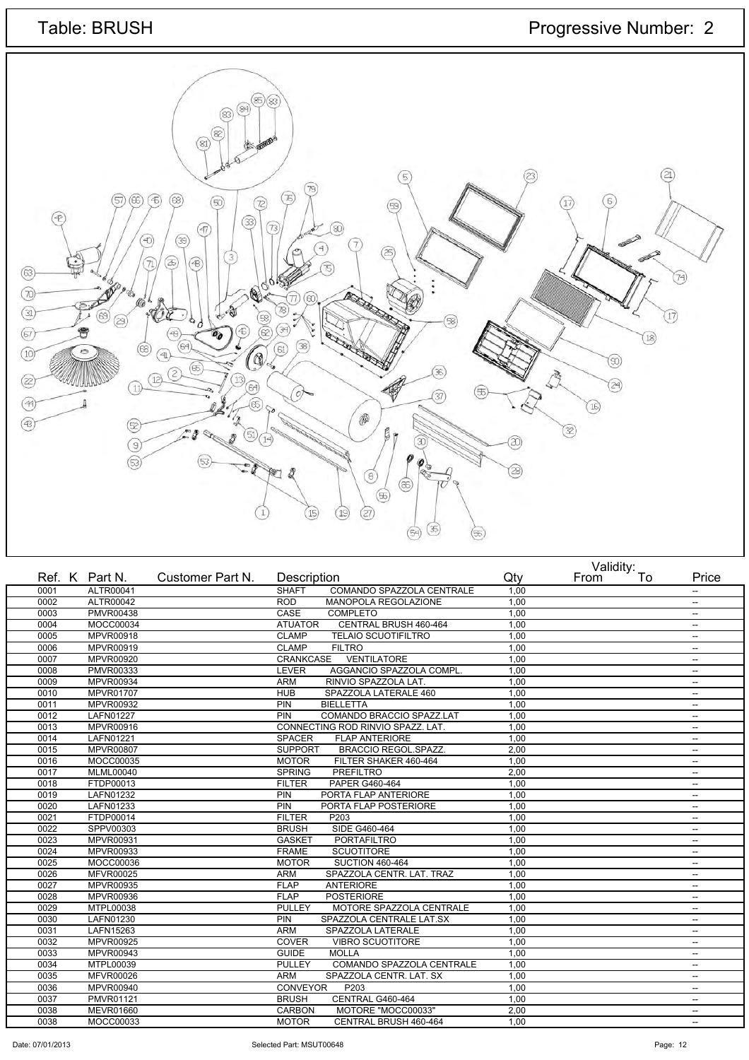

|      | Ref. K Part N.   | Customer Part N. | Description     |                                   | Qty  | From | validity.<br>To | Price                    |
|------|------------------|------------------|-----------------|-----------------------------------|------|------|-----------------|--------------------------|
| 0001 | ALTR00041        |                  | <b>SHAFT</b>    | COMANDO SPAZZOLA CENTRALE         | 1,00 |      |                 | --                       |
| 0002 | ALTR00042        |                  | <b>ROD</b>      | MANOPOLA REGOLAZIONE              | 1,00 |      |                 | --                       |
| 0003 | <b>PMVR00438</b> |                  | CASE            | <b>COMPLETO</b>                   | 1.00 |      |                 | --                       |
| 0004 | MOCC00034        |                  | <b>ATUATOR</b>  | CENTRAL BRUSH 460-464             | 1,00 |      |                 | --                       |
| 0005 | <b>MPVR00918</b> |                  | <b>CLAMP</b>    | <b>TELAIO SCUOTIFILTRO</b>        | 1.00 |      |                 | $\overline{a}$           |
| 0006 | MPVR00919        |                  | <b>CLAMP</b>    | <b>FILTRO</b>                     | 1,00 |      |                 | $\overline{\phantom{a}}$ |
| 0007 | MPVR00920        |                  | CRANKCASE       | <b>VENTILATORE</b>                | 1,00 |      |                 | $\overline{\phantom{a}}$ |
| 0008 | PMVR00333        |                  | <b>LEVER</b>    | AGGANCIO SPAZZOLA COMPL           | 1,00 |      |                 | $\overline{a}$           |
| 0009 | MPVR00934        |                  | <b>ARM</b>      | RINVIO SPAZZOLA LAT.              | 1,00 |      |                 | $\overline{\phantom{a}}$ |
| 0010 | <b>MPVR01707</b> |                  | <b>HUB</b>      | SPAZZOLA LATERALE 460             | 1,00 |      |                 | --                       |
| 0011 | <b>MPVR00932</b> |                  | PIN             | <b>BIELLETTA</b>                  | 1,00 |      |                 | $\overline{a}$           |
| 0012 | <b>LAFN01227</b> |                  | PIN             | COMANDO BRACCIO SPAZZ.LAT         | 1,00 |      |                 | --                       |
| 0013 | MPVR00916        |                  |                 | CONNECTING ROD RINVIO SPAZZ, LAT. | 1,00 |      |                 | --                       |
| 0014 | LAFN01221        |                  | <b>SPACER</b>   | <b>FLAP ANTERIORE</b>             | 1,00 |      |                 | --                       |
| 0015 | <b>MPVR00807</b> |                  | <b>SUPPORT</b>  | <b>BRACCIO REGOL.SPAZZ.</b>       | 2.00 |      |                 | --                       |
| 0016 | MOCC00035        |                  | <b>MOTOR</b>    | FILTER SHAKER 460-464             | 1,00 |      |                 | $\overline{\phantom{a}}$ |
| 0017 | <b>MLML00040</b> |                  | <b>SPRING</b>   | <b>PREFILTRO</b>                  | 2,00 |      |                 | $\overline{a}$           |
| 0018 | FTDP00013        |                  | <b>FILTER</b>   | PAPER G460-464                    | 1.00 |      |                 | --                       |
| 0019 | LAFN01232        |                  | PIN             | PORTA FLAP ANTERIORE              | 1,00 |      |                 | $\overline{\phantom{a}}$ |
| 0020 | LAFN01233        |                  | PIN             | PORTA FLAP POSTERIORE             | 1,00 |      |                 | $\overline{\phantom{a}}$ |
| 0021 | FTDP00014        |                  | <b>FILTER</b>   | P203                              | 1,00 |      |                 | $\overline{\phantom{a}}$ |
| 0022 | SPPV00303        |                  | <b>BRUSH</b>    | SIDE G460-464                     | 1,00 |      |                 | $\overline{\phantom{a}}$ |
| 0023 | MPVR00931        |                  | <b>GASKET</b>   | <b>PORTAFILTRO</b>                | 1,00 |      |                 | $\overline{\phantom{a}}$ |
| 0024 | MPVR00933        |                  | <b>FRAME</b>    | <b>SCUOTITORE</b>                 | 1,00 |      |                 | $\overline{a}$           |
| 0025 | MOCC00036        |                  | <b>MOTOR</b>    | <b>SUCTION 460-464</b>            | 1,00 |      |                 | $\overline{\phantom{a}}$ |
| 0026 | <b>MFVR00025</b> |                  | <b>ARM</b>      | SPAZZOLA CENTR. LAT. TRAZ         | 1,00 |      |                 | $\overline{\phantom{a}}$ |
| 0027 | MPVR00935        |                  | <b>FLAP</b>     | <b>ANTERIORE</b>                  | 1,00 |      |                 | $\overline{a}$           |
| 0028 | <b>MPVR00936</b> |                  | <b>FLAP</b>     | <b>POSTERIORE</b>                 | 1.00 |      |                 | --                       |
| 0029 | MTPL00038        |                  | <b>PULLEY</b>   | MOTORE SPAZZOLA CENTRALE          | 1,00 |      |                 | --                       |
| 0030 | LAFN01230        |                  | PIN             | SPAZZOLA CENTRALE LAT.SX          | 1,00 |      |                 | $\overline{\phantom{a}}$ |
| 0031 | LAFN15263        |                  | <b>ARM</b>      | SPAZZOLA LATERALE                 | 1.00 |      |                 | $\overline{\phantom{a}}$ |
| 0032 | MPVR00925        |                  | <b>COVER</b>    | <b>VIBRO SCUOTITORE</b>           | 1,00 |      |                 | $\overline{\phantom{a}}$ |
| 0033 | MPVR00943        |                  | <b>GUIDE</b>    | <b>MOLLA</b>                      | 1,00 |      |                 | --                       |
| 0034 | MTPL00039        |                  | <b>PULLEY</b>   | COMANDO SPAZZOLA CENTRALE         | 1.00 |      |                 | $\overline{\phantom{a}}$ |
| 0035 | <b>MFVR00026</b> |                  | <b>ARM</b>      | SPAZZOLA CENTR. LAT. SX           | 1,00 |      |                 | --                       |
| 0036 | MPVR00940        |                  | <b>CONVEYOR</b> | P <sub>203</sub>                  | 1,00 |      |                 | --                       |
| 0037 | PMVR01121        |                  | <b>BRUSH</b>    | CENTRAL G460-464                  | 1,00 |      |                 | $\overline{\phantom{a}}$ |
| 0038 | MEVR01660        |                  | <b>CARBON</b>   | MOTORE "MOCC00033"                | 2,00 |      |                 | $\overline{\phantom{a}}$ |
| 0038 | MOCC00033        |                  | <b>MOTOR</b>    | CENTRAL BRUSH 460-464             | 1.00 |      |                 | $\overline{\phantom{a}}$ |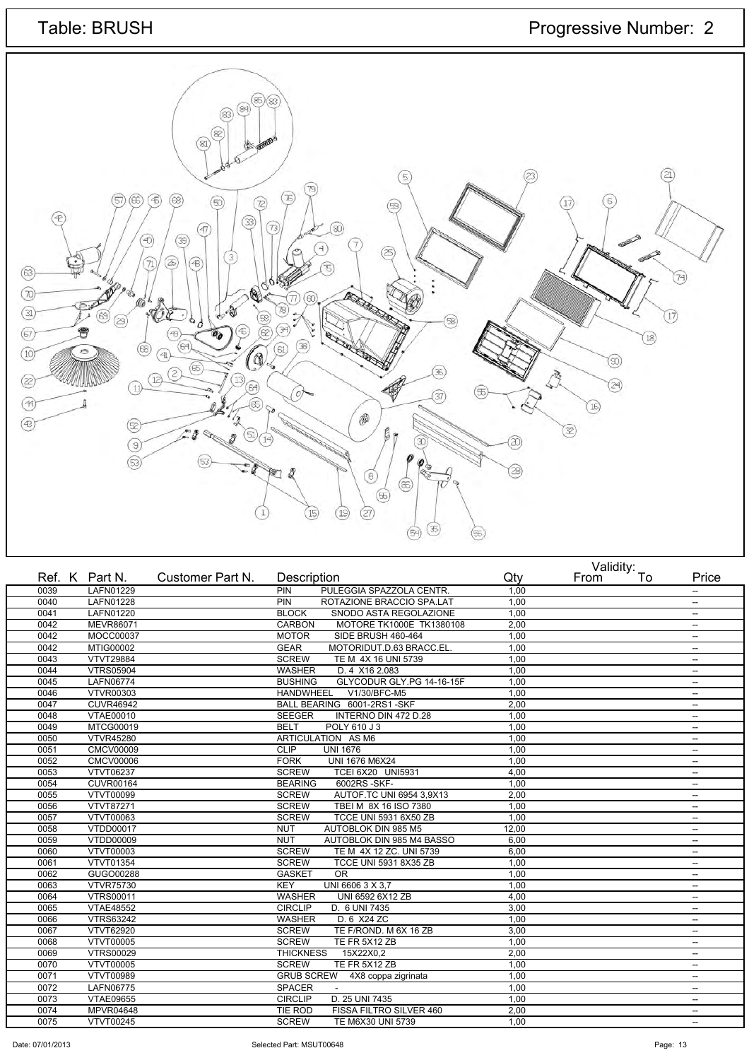

|      | Ref. K Part N.   | Customer Part N. | Description                                 | Qty   | Validity.<br>To<br>From | Price                    |
|------|------------------|------------------|---------------------------------------------|-------|-------------------------|--------------------------|
| 0039 | LAFN01229        |                  | PIN<br>PULEGGIA SPAZZOLA CENTR.             | 1.00  |                         | $\overline{\phantom{a}}$ |
| 0040 | <b>LAFN01228</b> |                  | PIN<br>ROTAZIONE BRACCIO SPA.LAT            | 1.00  |                         | $\overline{\phantom{a}}$ |
| 0041 | LAFN01220        |                  | <b>BLOCK</b><br>SNODO ASTA REGOLAZIONE      | 1.00  |                         | $\overline{\phantom{a}}$ |
| 0042 | <b>MEVR86071</b> |                  | <b>CARBON</b><br>MOTORE TK1000E TK1380108   | 2.00  |                         | $\overline{\phantom{a}}$ |
| 0042 | MOCC00037        |                  | <b>MOTOR</b><br>SIDE BRUSH 460-464          | 1.00  |                         | $\overline{\phantom{a}}$ |
| 0042 | MTIG00002        |                  | <b>GEAR</b><br>MOTORIDUT.D.63 BRACC.EL.     | 1.00  |                         | $\overline{\phantom{a}}$ |
| 0043 | <b>VTVT29884</b> |                  | <b>SCREW</b><br>TE M 4X 16 UNI 5739         | 1,00  |                         | $\overline{\phantom{a}}$ |
| 0044 | <b>VTRS05904</b> |                  | <b>WASHER</b><br>D. 4 X16 2.083             | 1,00  |                         | $\overline{\phantom{a}}$ |
| 0045 | LAFN06774        |                  | <b>BUSHING</b><br>GLYCODUR GLY.PG 14-16-15F | 1,00  |                         | $\overline{\phantom{a}}$ |
| 0046 | <b>VTVR00303</b> |                  | <b>HANDWHEEL</b><br>V1/30/BFC-M5            | 1,00  |                         | $\overline{\phantom{a}}$ |
| 0047 | <b>CUVR46942</b> |                  | BALL BEARING 6001-2RS1-SKF                  | 2,00  |                         | $\overline{\phantom{a}}$ |
| 0048 | VTAE00010        |                  | INTERNO DIN 472 D.28<br><b>SEEGER</b>       | 1,00  |                         | $\overline{\phantom{a}}$ |
| 0049 | <b>MTCG00019</b> |                  | <b>BELT</b><br>POLY 610 J 3                 | 1.00  |                         | $\sim$                   |
| 0050 | <b>VTVR45280</b> |                  | ARTICULATION AS M6                          | 1,00  |                         | $\overline{\phantom{a}}$ |
| 0051 | <b>CMCV00009</b> |                  | <b>CLIP</b><br><b>UNI 1676</b>              | 1,00  |                         | $\overline{\phantom{a}}$ |
| 0052 | <b>CMCV00006</b> |                  | <b>UNI 1676 M6X24</b><br><b>FORK</b>        | 1.00  |                         | $\overline{\phantom{a}}$ |
| 0053 | <b>VTVT06237</b> |                  | <b>SCREW</b><br><b>TCEI 6X20 UNI5931</b>    | 4,00  |                         | $\overline{\phantom{a}}$ |
| 0054 | <b>CUVR00164</b> |                  | 6002RS-SKF-<br><b>BEARING</b>               | 1,00  |                         | $\overline{\phantom{a}}$ |
| 0055 | VTVT00099        |                  | AUTOF.TC UNI 6954 3.9X13<br><b>SCREW</b>    | 2.00  |                         | $\overline{\phantom{a}}$ |
| 0056 | VTVT87271        |                  | <b>SCREW</b><br>TBEI M 8X 16 ISO 7380       | 1,00  |                         | $\overline{\phantom{a}}$ |
| 0057 | <b>VTVT00063</b> |                  | <b>SCREW</b><br>TCCE UNI 5931 6X50 ZB       | 1,00  |                         | $\overline{\phantom{a}}$ |
| 0058 | <b>VTDD00017</b> |                  | <b>AUTOBLOK DIN 985 M5</b><br><b>NUT</b>    | 12.00 |                         | $\overline{\phantom{a}}$ |
| 0059 | VTDD00009        |                  | AUTOBLOK DIN 985 M4 BASSO<br><b>NUT</b>     | 6,00  |                         | $\overline{\phantom{a}}$ |
| 0060 | VTVT00003        |                  | TE M 4X 12 ZC. UNI 5739<br><b>SCREW</b>     | 6,00  |                         | $\overline{\phantom{a}}$ |
| 0061 | VTVT01354        |                  | <b>SCREW</b><br>TCCE UNI 5931 8X35 ZB       | 1.00  |                         | $\overline{\phantom{a}}$ |
| 0062 | GUGO00288        |                  | <b>GASKET</b><br><b>OR</b>                  | 1,00  |                         | $\overline{\phantom{a}}$ |
| 0063 | <b>VTVR75730</b> |                  | <b>KEY</b><br>UNI 6606 3 X 3,7              | 1,00  |                         | $\overline{\phantom{a}}$ |
| 0064 | <b>VTRS00011</b> |                  | <b>WASHER</b><br>UNI 6592 6X12 ZB           | 4.00  |                         | $\overline{\phantom{a}}$ |
| 0065 | <b>VTAE48552</b> |                  | <b>CIRCLIP</b><br>D. 6 UNI 7435             | 3,00  |                         | $\overline{\phantom{a}}$ |
| 0066 | <b>VTRS63242</b> |                  | D. 6 X24 ZC<br><b>WASHER</b>                | 1,00  |                         | $\overline{\phantom{a}}$ |
| 0067 | VTVT62920        |                  | TE F/ROND. M 6X 16 ZB<br><b>SCREW</b>       | 3.00  |                         | $\overline{\phantom{a}}$ |
| 0068 | <b>VTVT00005</b> |                  | <b>SCREW</b><br>TE FR 5X12 ZB               | 1,00  |                         | $\overline{\phantom{a}}$ |
| 0069 | <b>VTRS00029</b> |                  | <b>THICKNESS</b><br>15X22X0,2               | 2,00  |                         | $\overline{\phantom{a}}$ |
| 0070 | VTVT00005        |                  | <b>SCREW</b><br>TE FR 5X12 ZB               | 1.00  |                         | $\overline{\phantom{a}}$ |
| 0071 | VTVT00989        |                  | <b>GRUB SCREW</b><br>4X8 coppa zigrinata    | 1,00  |                         | $\overline{\phantom{a}}$ |
| 0072 | LAFN06775        |                  | <b>SPACER</b><br>$\sim$                     | 1,00  |                         | $\overline{\phantom{a}}$ |
| 0073 | <b>VTAE09655</b> |                  | D. 25 UNI 7435<br><b>CIRCLIP</b>            | 1.00  |                         | $\overline{\phantom{a}}$ |
| 0074 | MPVR04648        |                  | FISSA FILTRO SILVER 460<br>TIE ROD          | 2,00  |                         | $\overline{\phantom{a}}$ |
| 0075 | VTVT00245        |                  | <b>SCREW</b><br>TE M6X30 UNI 5739           | 1.00  |                         | $\overline{\phantom{a}}$ |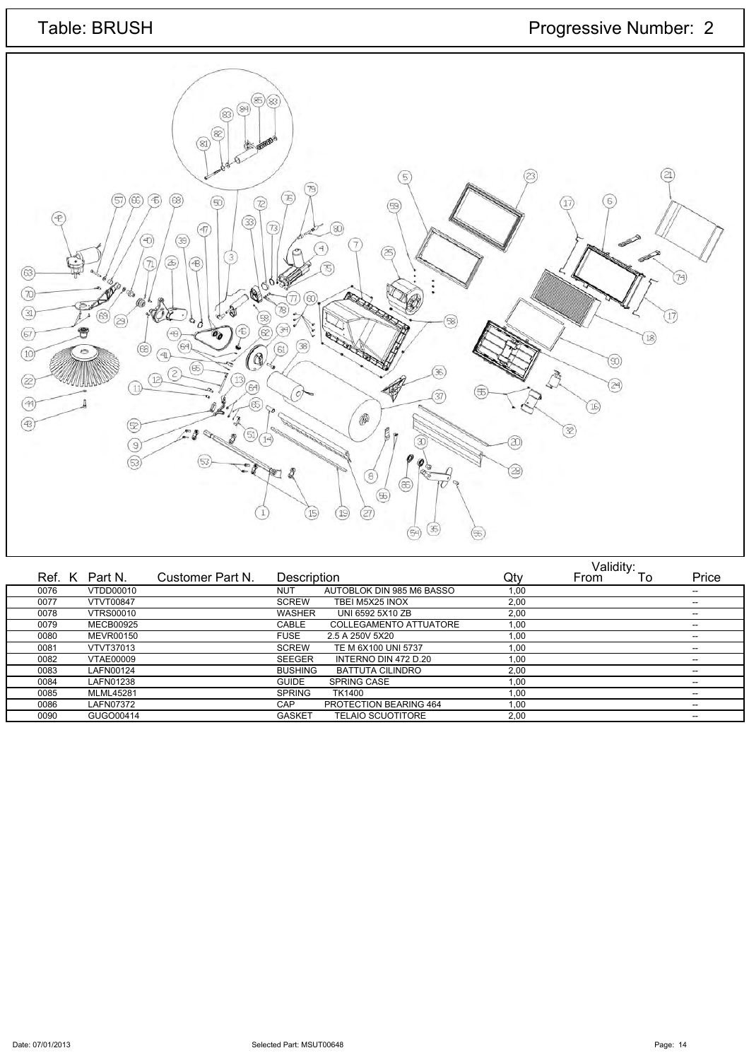

|      |                  |                  |                |                               |      | Validity: |    |                          |
|------|------------------|------------------|----------------|-------------------------------|------|-----------|----|--------------------------|
|      | Ref. K Part N.   | Customer Part N. | Description    |                               | Qty  | From      | To | Price                    |
| 0076 | VTDD00010        |                  | NUT            | AUTOBLOK DIN 985 M6 BASSO     | 1,00 |           |    | $\overline{\phantom{a}}$ |
| 0077 | <b>VTVT00847</b> |                  | <b>SCREW</b>   | TBEI M5X25 INOX               | 2,00 |           |    | $- -$                    |
| 0078 | <b>VTRS00010</b> |                  | <b>WASHER</b>  | UNI 6592 5X10 ZB              | 2,00 |           |    |                          |
| 0079 | <b>MECB00925</b> |                  | CABLE          | <b>COLLEGAMENTO ATTUATORE</b> | 1,00 |           |    | $- -$                    |
| 0080 | <b>MEVR00150</b> |                  | <b>FUSE</b>    | 2.5 A 250V 5X20               | 1,00 |           |    | --                       |
| 0081 | <b>VTVT37013</b> |                  | <b>SCREW</b>   | TE M 6X100 UNI 5737           | 1,00 |           |    | $- -$                    |
| 0082 | <b>VTAE00009</b> |                  | <b>SEEGER</b>  | INTERNO DIN 472 D.20          | 1,00 |           |    | $- -$                    |
| 0083 | LAFN00124        |                  | <b>BUSHING</b> | <b>BATTUTA CILINDRO</b>       | 2,00 |           |    | $- -$                    |
| 0084 | LAFN01238        |                  | <b>GUIDE</b>   | <b>SPRING CASE</b>            | 1,00 |           |    | --                       |
| 0085 | <b>MLML45281</b> |                  | <b>SPRING</b>  | TK1400                        | 1,00 |           |    | $\overline{\phantom{a}}$ |
| 0086 | LAFN07372        |                  | CAP            | PROTECTION BEARING 464        | 1.00 |           |    | --                       |
| 0090 | GUGO00414        |                  | <b>GASKET</b>  | <b>TELAIO SCUOTITORE</b>      | 2,00 |           |    | $- -$                    |
|      |                  |                  |                |                               |      |           |    |                          |